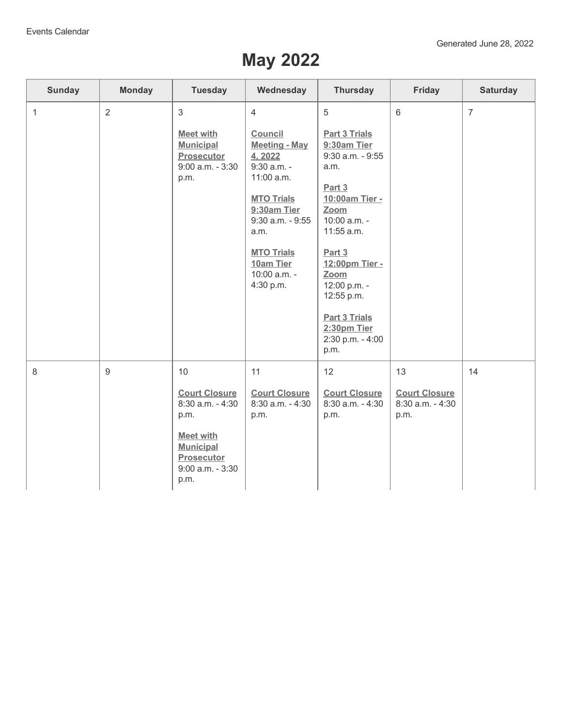## **May 2022**

| <b>Sunday</b>  | <b>Monday</b>  | <b>Tuesday</b>                                                                                                                                      | Wednesday                                                                                                                                                                                                                         | <b>Thursday</b>                                                                                                                                                                                                                                                                 | Friday                                                 | <b>Saturday</b> |
|----------------|----------------|-----------------------------------------------------------------------------------------------------------------------------------------------------|-----------------------------------------------------------------------------------------------------------------------------------------------------------------------------------------------------------------------------------|---------------------------------------------------------------------------------------------------------------------------------------------------------------------------------------------------------------------------------------------------------------------------------|--------------------------------------------------------|-----------------|
| $\overline{1}$ | $\overline{2}$ | 3<br><b>Meet with</b><br><b>Municipal</b><br><b>Prosecutor</b><br>$9:00$ a.m. - $3:30$<br>p.m.                                                      | $\overline{4}$<br><b>Council</b><br><b>Meeting - May</b><br>4, 2022<br>$9:30$ a.m. -<br>11:00 a.m.<br><b>MTO Trials</b><br>9:30am Tier<br>9:30 a.m. - 9:55<br>a.m.<br><b>MTO Trials</b><br>10am Tier<br>10:00 a.m. -<br>4:30 p.m. | 5<br><b>Part 3 Trials</b><br>9:30am Tier<br>$9:30$ a.m. - $9:55$<br>a.m.<br>Part 3<br>10:00am Tier -<br>Zoom<br>10:00 a.m. -<br>11:55 a.m.<br>Part 3<br>12:00pm Tier -<br>Zoom<br>12:00 p.m. -<br>12:55 p.m.<br><b>Part 3 Trials</b><br>2:30pm Tier<br>2:30 p.m. - 4:00<br>p.m. | $6\phantom{1}6$                                        | $\overline{7}$  |
| 8              | $\overline{9}$ | 10<br><b>Court Closure</b><br>8:30 a.m. - 4:30<br>p.m.<br><b>Meet with</b><br><b>Municipal</b><br><b>Prosecutor</b><br>$9:00$ a.m. - $3:30$<br>p.m. | 11<br><b>Court Closure</b><br>8:30 a.m. - 4:30<br>p.m.                                                                                                                                                                            | 12<br><b>Court Closure</b><br>8:30 a.m. - 4:30<br>p.m.                                                                                                                                                                                                                          | 13<br><b>Court Closure</b><br>8:30 a.m. - 4:30<br>p.m. | 14              |